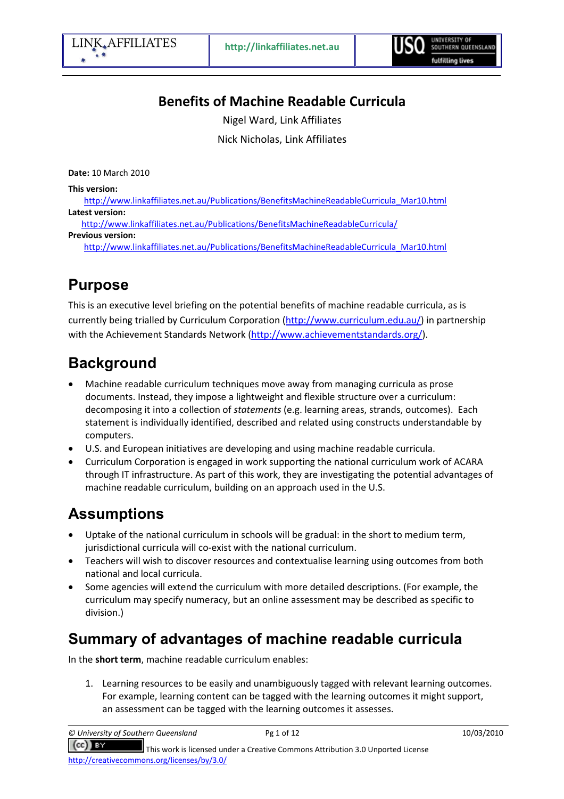# Benefits of Machine Readable Curricula

Nigel Ward, Link Affiliates

Nick Nicholas, Link Affiliates

Date: 10 March 2010

This version:

http://www.linkaffiliates.net.au/Publications/BenefitsMachineReadableCurricula\_Mar10.html Latest version:

http://www.linkaffiliates.net.au/Publications/BenefitsMachineReadableCurricula/

#### Previous version:

http://www.linkaffiliates.net.au/Publications/BenefitsMachineReadableCurricula\_Mar10.html

# Purpose

This is an executive level briefing on the potential benefits of machine readable curricula, as is currently being trialled by Curriculum Corporation (http://www.curriculum.edu.au/) in partnership with the Achievement Standards Network (http://www.achievementstandards.org/).

# **Background**

- Machine readable curriculum techniques move away from managing curricula as prose documents. Instead, they impose a lightweight and flexible structure over a curriculum: decomposing it into a collection of statements (e.g. learning areas, strands, outcomes). Each statement is individually identified, described and related using constructs understandable by computers.
- U.S. and European initiatives are developing and using machine readable curricula.
- Curriculum Corporation is engaged in work supporting the national curriculum work of ACARA through IT infrastructure. As part of this work, they are investigating the potential advantages of machine readable curriculum, building on an approach used in the U.S.

# Assumptions

- Uptake of the national curriculum in schools will be gradual: in the short to medium term, jurisdictional curricula will co-exist with the national curriculum.
- Teachers will wish to discover resources and contextualise learning using outcomes from both national and local curricula.
- Some agencies will extend the curriculum with more detailed descriptions. (For example, the curriculum may specify numeracy, but an online assessment may be described as specific to division.)

# Summary of advantages of machine readable curricula

In the short term, machine readable curriculum enables:

1. Learning resources to be easily and unambiguously tagged with relevant learning outcomes. For example, learning content can be tagged with the learning outcomes it might support, an assessment can be tagged with the learning outcomes it assesses.

© University of Southern Queensland Pg 1 of 12 10/03/2010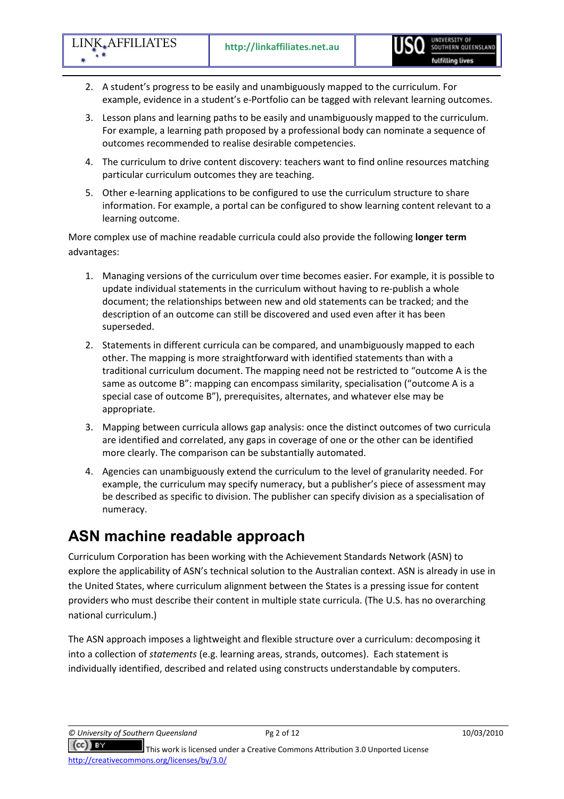- 2. A student's progress to be easily and unambiguously mapped to the curriculum. For example, evidence in a student's e-Portfolio can be tagged with relevant learning outcomes.
- 3. Lesson plans and learning paths to be easily and unambiguously mapped to the curriculum. For example, a learning path proposed by a professional body can nominate a sequence of outcomes recommended to realise desirable competencies.
- 4. The curriculum to drive content discovery: teachers want to find online resources matching particular curriculum outcomes they are teaching.
- 5. Other e-learning applications to be configured to use the curriculum structure to share information. For example, a portal can be configured to show learning content relevant to a learning outcome.

More complex use of machine readable curricula could also provide the following longer term advantages:

- 1. Managing versions of the curriculum over time becomes easier. For example, it is possible to update individual statements in the curriculum without having to re-publish a whole document; the relationships between new and old statements can be tracked; and the description of an outcome can still be discovered and used even after it has been superseded.
- 2. Statements in different curricula can be compared, and unambiguously mapped to each other. The mapping is more straightforward with identified statements than with a traditional curriculum document. The mapping need not be restricted to "outcome A is the same as outcome B": mapping can encompass similarity, specialisation ("outcome A is a special case of outcome B"), prerequisites, alternates, and whatever else may be appropriate.
- 3. Mapping between curricula allows gap analysis: once the distinct outcomes of two curricula are identified and correlated, any gaps in coverage of one or the other can be identified more clearly. The comparison can be substantially automated.
- 4. Agencies can unambiguously extend the curriculum to the level of granularity needed. For example, the curriculum may specify numeracy, but a publisher's piece of assessment may be described as specific to division. The publisher can specify division as a specialisation of numeracy.

# ASN machine readable approach

Curriculum Corporation has been working with the Achievement Standards Network (ASN) to explore the applicability of ASN's technical solution to the Australian context. ASN is already in use in the United States, where curriculum alignment between the States is a pressing issue for content providers who must describe their content in multiple state curricula. (The U.S. has no overarching national curriculum.)

The ASN approach imposes a lightweight and flexible structure over a curriculum: decomposing it into a collection of statements (e.g. learning areas, strands, outcomes). Each statement is individually identified, described and related using constructs understandable by computers.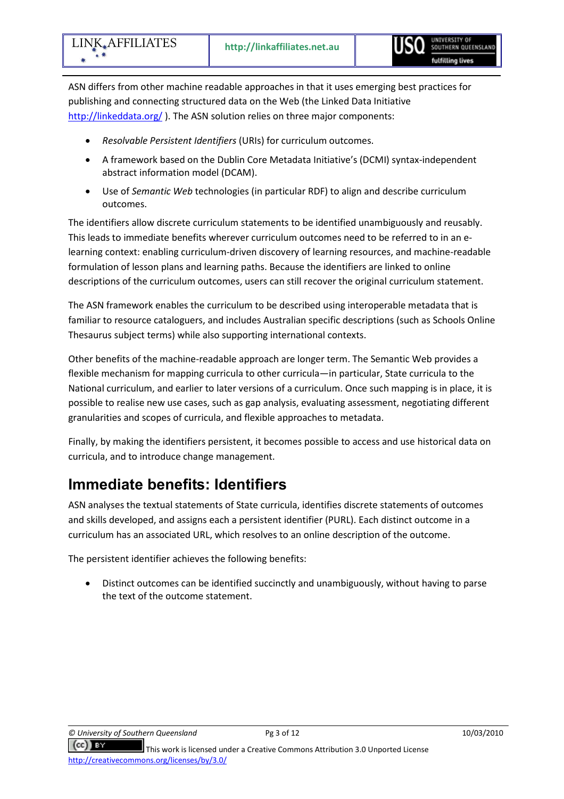ASN differs from other machine readable approaches in that it uses emerging best practices for publishing and connecting structured data on the Web (the Linked Data Initiative http://linkeddata.org/ ). The ASN solution relies on three major components:

- Resolvable Persistent Identifiers (URIs) for curriculum outcomes.
- A framework based on the Dublin Core Metadata Initiative's (DCMI) syntax-independent abstract information model (DCAM).
- Use of Semantic Web technologies (in particular RDF) to align and describe curriculum outcomes.

The identifiers allow discrete curriculum statements to be identified unambiguously and reusably. This leads to immediate benefits wherever curriculum outcomes need to be referred to in an elearning context: enabling curriculum-driven discovery of learning resources, and machine-readable formulation of lesson plans and learning paths. Because the identifiers are linked to online descriptions of the curriculum outcomes, users can still recover the original curriculum statement.

The ASN framework enables the curriculum to be described using interoperable metadata that is familiar to resource cataloguers, and includes Australian specific descriptions (such as Schools Online Thesaurus subject terms) while also supporting international contexts.

Other benefits of the machine-readable approach are longer term. The Semantic Web provides a flexible mechanism for mapping curricula to other curricula—in particular, State curricula to the National curriculum, and earlier to later versions of a curriculum. Once such mapping is in place, it is possible to realise new use cases, such as gap analysis, evaluating assessment, negotiating different granularities and scopes of curricula, and flexible approaches to metadata.

Finally, by making the identifiers persistent, it becomes possible to access and use historical data on curricula, and to introduce change management.

### Immediate benefits: Identifiers

ASN analyses the textual statements of State curricula, identifies discrete statements of outcomes and skills developed, and assigns each a persistent identifier (PURL). Each distinct outcome in a curriculum has an associated URL, which resolves to an online description of the outcome.

The persistent identifier achieves the following benefits:

• Distinct outcomes can be identified succinctly and unambiguously, without having to parse the text of the outcome statement.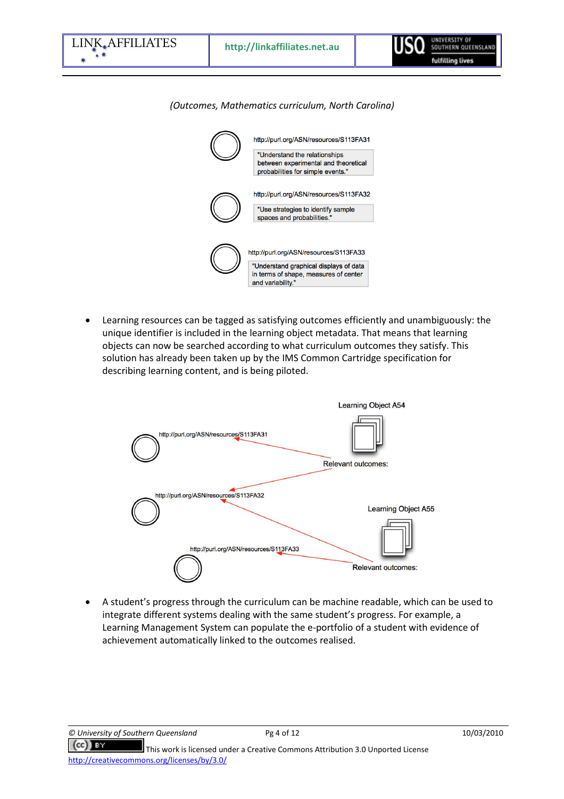

(Outcomes, Mathematics curriculum, North Carolina)

• Learning resources can be tagged as satisfying outcomes efficiently and unambiguously: the unique identifier is included in the learning object metadata. That means that learning objects can now be searched according to what curriculum outcomes they satisfy. This solution has already been taken up by the IMS Common Cartridge specification for describing learning content, and is being piloted.



• A student's progress through the curriculum can be machine readable, which can be used to integrate different systems dealing with the same student's progress. For example, a Learning Management System can populate the e-portfolio of a student with evidence of achievement automatically linked to the outcomes realised.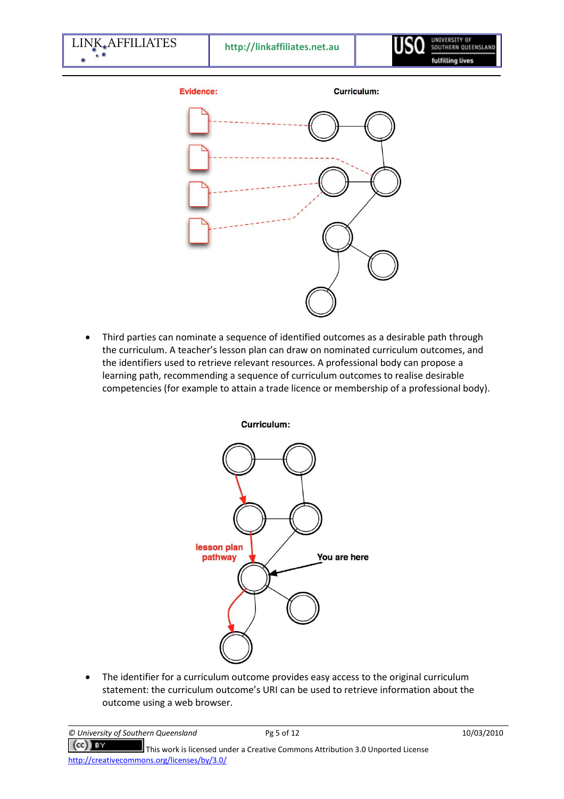

• Third parties can nominate a sequence of identified outcomes as a desirable path through the curriculum. A teacher's lesson plan can draw on nominated curriculum outcomes, and the identifiers used to retrieve relevant resources. A professional body can propose a learning path, recommending a sequence of curriculum outcomes to realise desirable competencies (for example to attain a trade licence or membership of a professional body).



• The identifier for a curriculum outcome provides easy access to the original curriculum statement: the curriculum outcome's URI can be used to retrieve information about the outcome using a web browser.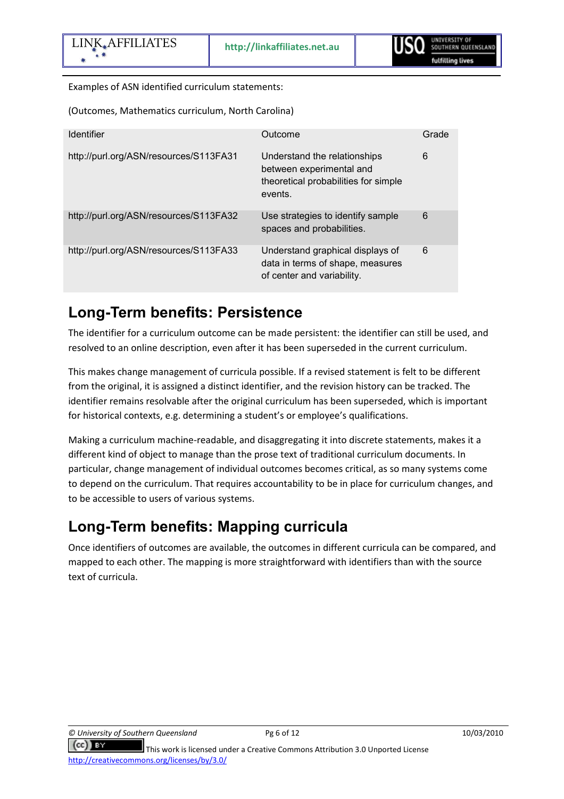Examples of ASN identified curriculum statements:

(Outcomes, Mathematics curriculum, North Carolina)

| <b>Identifier</b>                      | Outcome                                                                                                     | Grade |
|----------------------------------------|-------------------------------------------------------------------------------------------------------------|-------|
| http://purl.org/ASN/resources/S113FA31 | Understand the relationships<br>between experimental and<br>theoretical probabilities for simple<br>events. | 6     |
| http://purl.org/ASN/resources/S113FA32 | Use strategies to identify sample<br>spaces and probabilities.                                              | 6     |
| http://purl.org/ASN/resources/S113FA33 | Understand graphical displays of<br>data in terms of shape, measures<br>of center and variability.          | 6     |

### Long-Term benefits: Persistence

The identifier for a curriculum outcome can be made persistent: the identifier can still be used, and resolved to an online description, even after it has been superseded in the current curriculum.

This makes change management of curricula possible. If a revised statement is felt to be different from the original, it is assigned a distinct identifier, and the revision history can be tracked. The identifier remains resolvable after the original curriculum has been superseded, which is important for historical contexts, e.g. determining a student's or employee's qualifications.

Making a curriculum machine-readable, and disaggregating it into discrete statements, makes it a different kind of object to manage than the prose text of traditional curriculum documents. In particular, change management of individual outcomes becomes critical, as so many systems come to depend on the curriculum. That requires accountability to be in place for curriculum changes, and to be accessible to users of various systems.

# Long-Term benefits: Mapping curricula

Once identifiers of outcomes are available, the outcomes in different curricula can be compared, and mapped to each other. The mapping is more straightforward with identifiers than with the source text of curricula.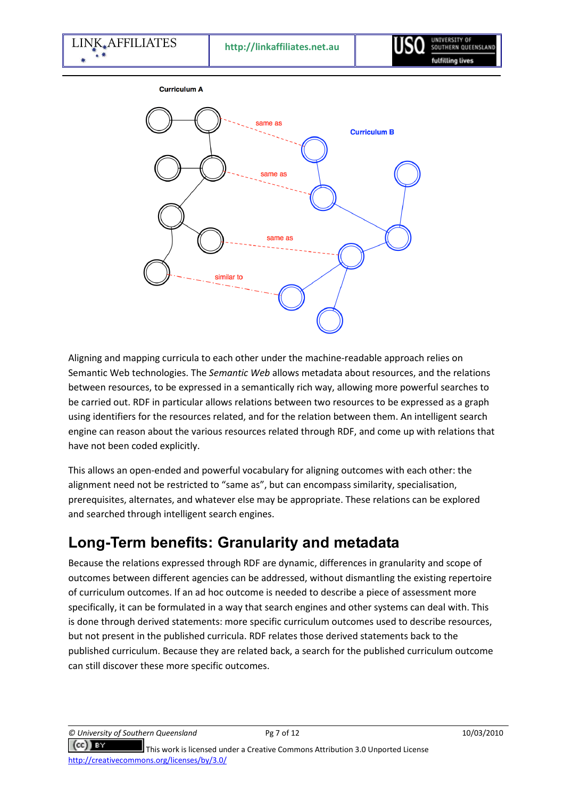



Aligning and mapping curricula to each other under the machine-readable approach relies on Semantic Web technologies. The Semantic Web allows metadata about resources, and the relations between resources, to be expressed in a semantically rich way, allowing more powerful searches to be carried out. RDF in particular allows relations between two resources to be expressed as a graph using identifiers for the resources related, and for the relation between them. An intelligent search engine can reason about the various resources related through RDF, and come up with relations that have not been coded explicitly.

This allows an open-ended and powerful vocabulary for aligning outcomes with each other: the alignment need not be restricted to "same as", but can encompass similarity, specialisation, prerequisites, alternates, and whatever else may be appropriate. These relations can be explored and searched through intelligent search engines.

# Long-Term benefits: Granularity and metadata

Because the relations expressed through RDF are dynamic, differences in granularity and scope of outcomes between different agencies can be addressed, without dismantling the existing repertoire of curriculum outcomes. If an ad hoc outcome is needed to describe a piece of assessment more specifically, it can be formulated in a way that search engines and other systems can deal with. This is done through derived statements: more specific curriculum outcomes used to describe resources, but not present in the published curricula. RDF relates those derived statements back to the published curriculum. Because they are related back, a search for the published curriculum outcome can still discover these more specific outcomes.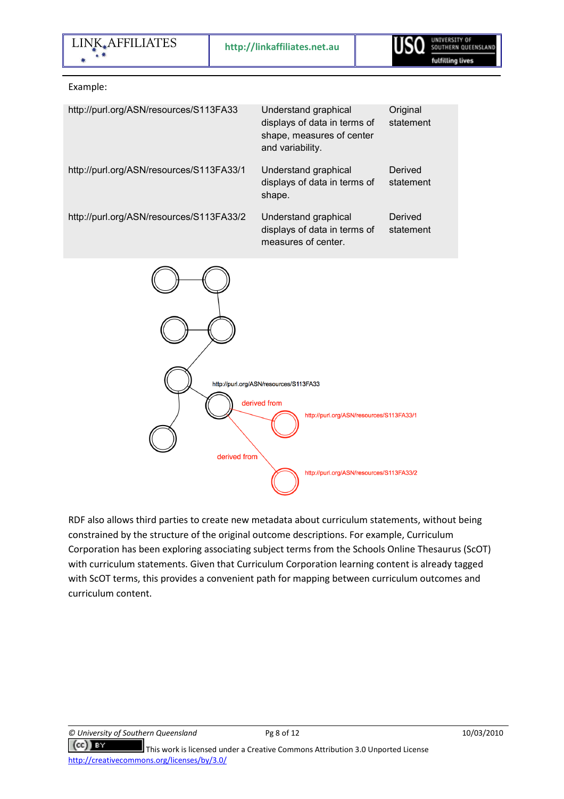

#### Example:

| http://purl.org/ASN/resources/S113FA33   | Understand graphical<br>displays of data in terms of<br>shape, measures of center<br>and variability. | Original<br>statement |
|------------------------------------------|-------------------------------------------------------------------------------------------------------|-----------------------|
| http://purl.org/ASN/resources/S113FA33/1 | Understand graphical<br>displays of data in terms of<br>shape.                                        | Derived<br>statement  |
| http://purl.org/ASN/resources/S113FA33/2 | Understand graphical<br>displays of data in terms of<br>measures of center.                           | Derived<br>statement  |



RDF also allows third parties to create new metadata about curriculum statements, without being constrained by the structure of the original outcome descriptions. For example, Curriculum Corporation has been exploring associating subject terms from the Schools Online Thesaurus (ScOT) with curriculum statements. Given that Curriculum Corporation learning content is already tagged with ScOT terms, this provides a convenient path for mapping between curriculum outcomes and curriculum content.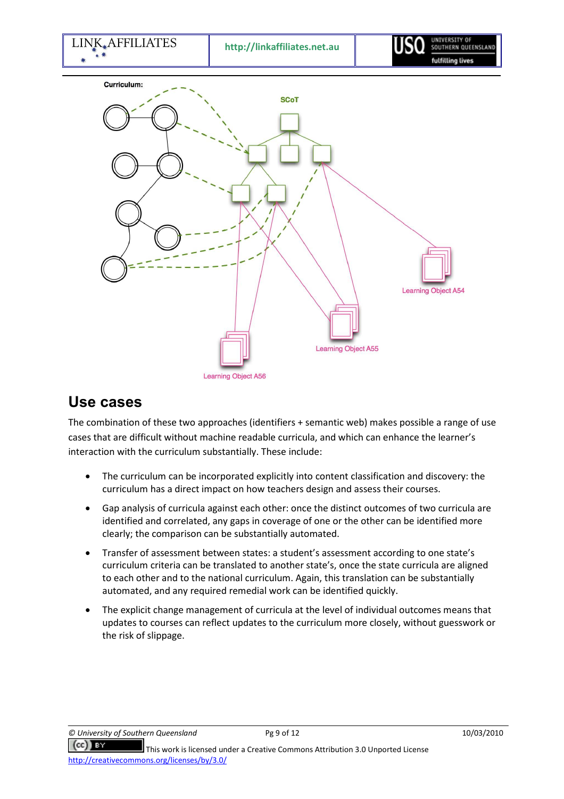

#### Use cases

The combination of these two approaches (identifiers + semantic web) makes possible a range of use cases that are difficult without machine readable curricula, and which can enhance the learner's interaction with the curriculum substantially. These include:

- The curriculum can be incorporated explicitly into content classification and discovery: the curriculum has a direct impact on how teachers design and assess their courses.
- Gap analysis of curricula against each other: once the distinct outcomes of two curricula are identified and correlated, any gaps in coverage of one or the other can be identified more clearly; the comparison can be substantially automated.
- Transfer of assessment between states: a student's assessment according to one state's curriculum criteria can be translated to another state's, once the state curricula are aligned to each other and to the national curriculum. Again, this translation can be substantially automated, and any required remedial work can be identified quickly.
- The explicit change management of curricula at the level of individual outcomes means that updates to courses can reflect updates to the curriculum more closely, without guesswork or the risk of slippage.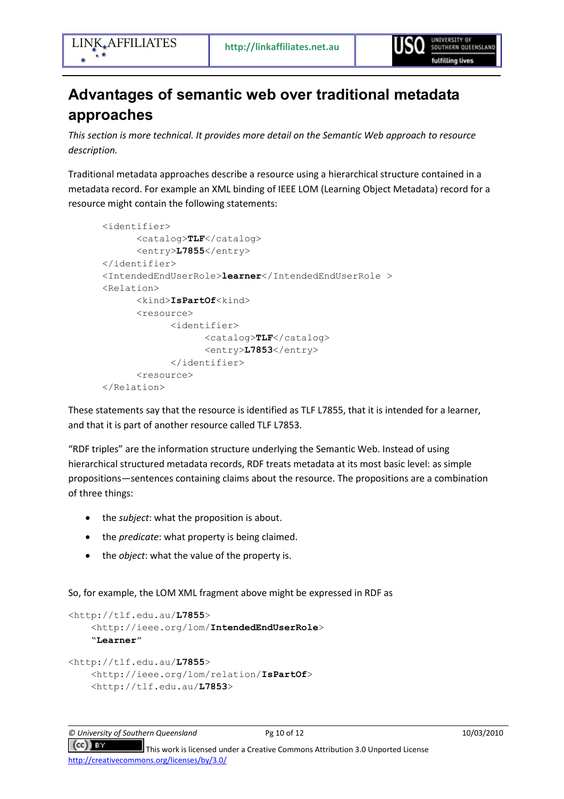# Advantages of semantic web over traditional metadata approaches

This section is more technical. It provides more detail on the Semantic Web approach to resource description.

Traditional metadata approaches describe a resource using a hierarchical structure contained in a metadata record. For example an XML binding of IEEE LOM (Learning Object Metadata) record for a resource might contain the following statements:

```
<identifier> 
       <catalog>TLF</catalog> 
       <entry>L7855</entry> 
 </identifier> 
<IntendedEndUserRole>learner</IntendedEndUserRole > 
 <Relation> 
      <kind>IsPartOf<kind>
       <resource> 
              <identifier> 
                    <catalog>TLF</catalog> 
                     <entry>L7853</entry> 
              </identifier> 
       <resource> 
 </Relation>
```
These statements say that the resource is identified as TLF L7855, that it is intended for a learner, and that it is part of another resource called TLF L7853.

"RDF triples" are the information structure underlying the Semantic Web. Instead of using hierarchical structured metadata records, RDF treats metadata at its most basic level: as simple propositions—sentences containing claims about the resource. The propositions are a combination of three things:

- the *subject*: what the proposition is about.
- the *predicate*: what property is being claimed.
- the *object*: what the value of the property is.

So, for example, the LOM XML fragment above might be expressed in RDF as

```
<http://tlf.edu.au/L7855> 
     <http://ieee.org/lom/IntendedEndUserRole> 
     "Learner" 
<http://tlf.edu.au/L7855> 
     <http://ieee.org/lom/relation/IsPartOf> 
     <http://tlf.edu.au/L7853>
```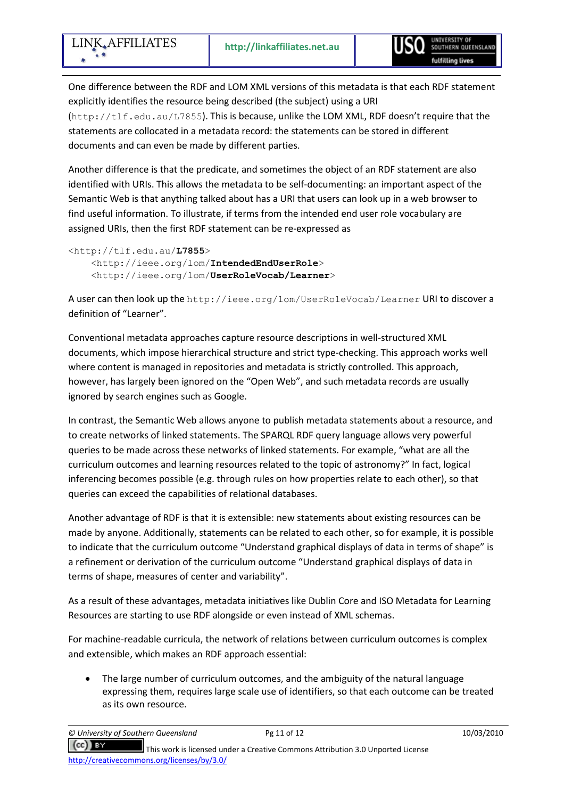One difference between the RDF and LOM XML versions of this metadata is that each RDF statement explicitly identifies the resource being described (the subject) using a URI (http://tlf.edu.au/L7855). This is because, unlike the LOM XML, RDF doesn't require that the statements are collocated in a metadata record: the statements can be stored in different documents and can even be made by different parties.

Another difference is that the predicate, and sometimes the object of an RDF statement are also identified with URIs. This allows the metadata to be self-documenting: an important aspect of the Semantic Web is that anything talked about has a URI that users can look up in a web browser to find useful information. To illustrate, if terms from the intended end user role vocabulary are assigned URIs, then the first RDF statement can be re-expressed as

```
<http://tlf.edu.au/L7855> 
     <http://ieee.org/lom/IntendedEndUserRole> 
     <http://ieee.org/lom/UserRoleVocab/Learner>
```
A user can then look up the http://ieee.org/lom/UserRoleVocab/Learner URI to discover a definition of "Learner".

Conventional metadata approaches capture resource descriptions in well-structured XML documents, which impose hierarchical structure and strict type-checking. This approach works well where content is managed in repositories and metadata is strictly controlled. This approach, however, has largely been ignored on the "Open Web", and such metadata records are usually ignored by search engines such as Google.

In contrast, the Semantic Web allows anyone to publish metadata statements about a resource, and to create networks of linked statements. The SPARQL RDF query language allows very powerful queries to be made across these networks of linked statements. For example, "what are all the curriculum outcomes and learning resources related to the topic of astronomy?" In fact, logical inferencing becomes possible (e.g. through rules on how properties relate to each other), so that queries can exceed the capabilities of relational databases.

Another advantage of RDF is that it is extensible: new statements about existing resources can be made by anyone. Additionally, statements can be related to each other, so for example, it is possible to indicate that the curriculum outcome "Understand graphical displays of data in terms of shape" is a refinement or derivation of the curriculum outcome "Understand graphical displays of data in terms of shape, measures of center and variability".

As a result of these advantages, metadata initiatives like Dublin Core and ISO Metadata for Learning Resources are starting to use RDF alongside or even instead of XML schemas.

For machine-readable curricula, the network of relations between curriculum outcomes is complex and extensible, which makes an RDF approach essential:

• The large number of curriculum outcomes, and the ambiguity of the natural language expressing them, requires large scale use of identifiers, so that each outcome can be treated as its own resource.